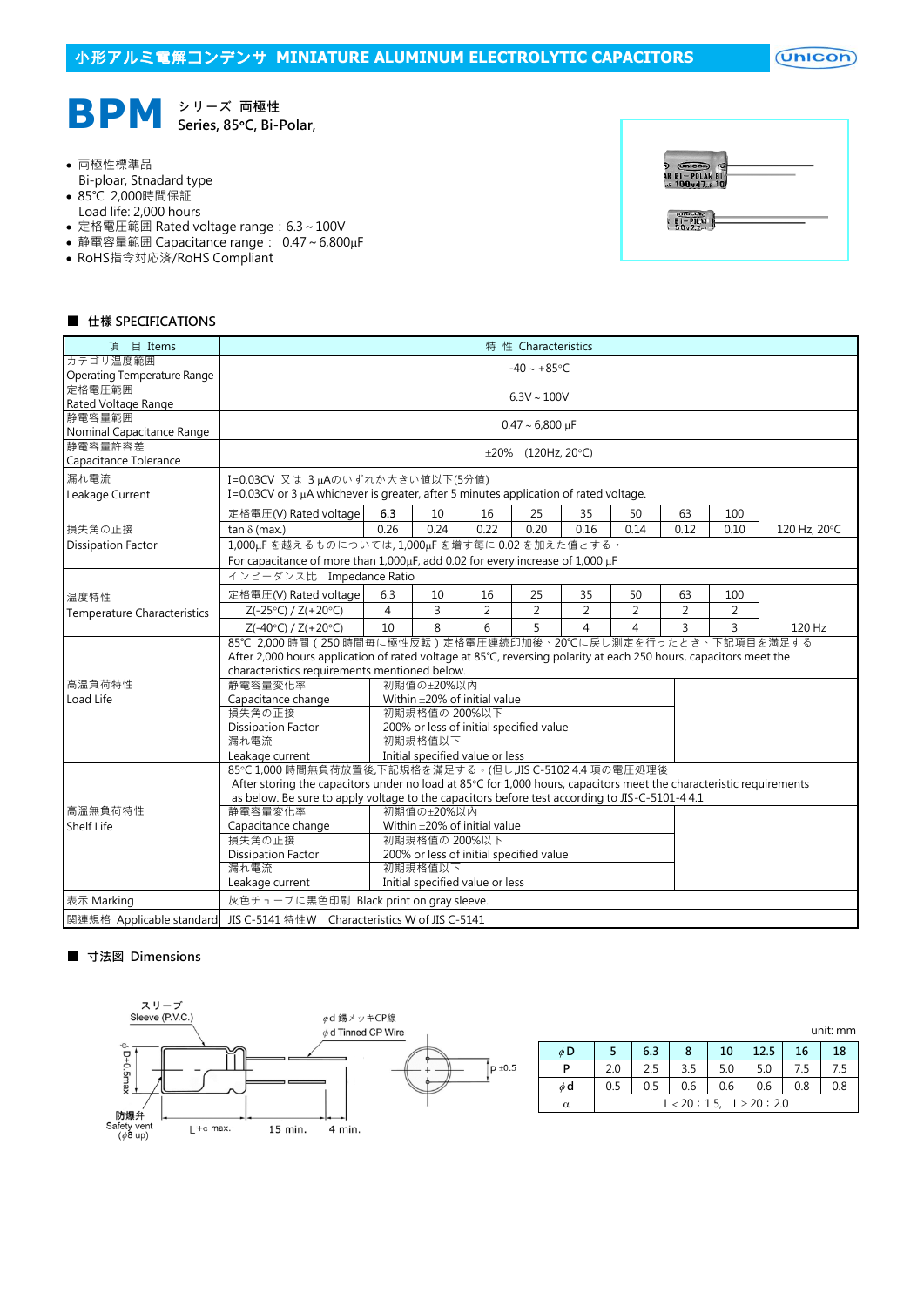

## 両極性標準品

- Bi-ploar, Stnadard type
- 85℃ 2,000時間保証
- Load life: 2,000 hours
- 定格電圧範囲 Rated voltage range: 6.3~100V
- 静電容量範囲 Capacitance range: 0.47~6,800µF
- RoHS指令対応済/RoHS Compliant

| Unicon<br>AR BI-POLAK BI-    |  |
|------------------------------|--|
|                              |  |
| <b>Garristown</b><br>50, 2.2 |  |

## ■ 仕樣 SPECIFICATIONS

| $\boxplus$ Items<br>項       | 特 性 Characteristics                                                                                                                                                |                          |                                         |                |                |                |                |                |                |              |  |
|-----------------------------|--------------------------------------------------------------------------------------------------------------------------------------------------------------------|--------------------------|-----------------------------------------|----------------|----------------|----------------|----------------|----------------|----------------|--------------|--|
| カテゴリ温度範囲                    | $-40 - +85$ °C                                                                                                                                                     |                          |                                         |                |                |                |                |                |                |              |  |
| Operating Temperature Range |                                                                                                                                                                    |                          |                                         |                |                |                |                |                |                |              |  |
| 定格電圧範囲                      | $6.3V \sim 100V$                                                                                                                                                   |                          |                                         |                |                |                |                |                |                |              |  |
| Rated Voltage Range         |                                                                                                                                                                    |                          |                                         |                |                |                |                |                |                |              |  |
| 静電容量範囲                      | $0.47 \sim 6,800 \,\mu F$                                                                                                                                          |                          |                                         |                |                |                |                |                |                |              |  |
| Nominal Capacitance Range   |                                                                                                                                                                    |                          |                                         |                |                |                |                |                |                |              |  |
| 静電容量許容差                     |                                                                                                                                                                    | $\pm 20\%$ (120Hz, 20°C) |                                         |                |                |                |                |                |                |              |  |
| Capacitance Tolerance       |                                                                                                                                                                    |                          |                                         |                |                |                |                |                |                |              |  |
| 漏れ電流                        | I=0.03CV 又は 3µAのいずれか大きい値以下(5分値)                                                                                                                                    |                          |                                         |                |                |                |                |                |                |              |  |
| Leakage Current             | I=0.03CV or 3 $\mu$ A whichever is greater, after 5 minutes application of rated voltage.                                                                          |                          |                                         |                |                |                |                |                |                |              |  |
|                             | 定格電圧(V) Rated voltage                                                                                                                                              | 6.3                      | 10                                      | 16             | 25             | 35             | 50             | 63             | 100            |              |  |
| 損失角の正接                      | $tan \delta$ (max.)                                                                                                                                                | 0.26                     | 0.24                                    | 0.22           | 0.20           | 0.16           | 0.14           | 0.12           | 0.10           | 120 Hz, 20°C |  |
|                             |                                                                                                                                                                    |                          |                                         |                |                |                |                |                |                |              |  |
| <b>Dissipation Factor</b>   | 1,000uFを越えるものについては,1,000uFを増す每に0.02を加えた値とする。                                                                                                                       |                          |                                         |                |                |                |                |                |                |              |  |
|                             | For capacitance of more than 1,000µF, add 0.02 for every increase of 1,000 µF                                                                                      |                          |                                         |                |                |                |                |                |                |              |  |
|                             | インピーダンス比 Impedance Ratio                                                                                                                                           |                          |                                         |                |                |                |                |                |                |              |  |
| 温度特性                        | 定格電圧(V) Rated voltage                                                                                                                                              | 6.3                      | 10                                      | 16             | 25             | 35             | 50             | 63             | 100            |              |  |
| Temperature Characteristics | $Z(-25°C) / Z(+20°C)$                                                                                                                                              | 4                        | $\overline{3}$                          | $\overline{2}$ | $\overline{2}$ | $\overline{2}$ | $\overline{2}$ | $\overline{2}$ | $\overline{2}$ |              |  |
|                             | $Z(-40°C) / Z(+20°C)$                                                                                                                                              | 10                       | 8                                       | 6              | 5              | $\overline{4}$ | 4              | 3              | 3              | 120 Hz       |  |
|                             | 85℃ 2,000 時間 (250 時間毎に極性反転) 定格電圧連続印加後、20℃に戻し測定を行ったとき、下記項目を満足する                                                                                                     |                          |                                         |                |                |                |                |                |                |              |  |
|                             |                                                                                                                                                                    |                          |                                         |                |                |                |                |                |                |              |  |
|                             | After 2,000 hours application of rated voltage at 85°C, reversing polarity at each 250 hours, capacitors meet the<br>characteristics requirements mentioned below. |                          |                                         |                |                |                |                |                |                |              |  |
| 高温負荷特性                      | 静電容量変化率                                                                                                                                                            |                          | 初期值の±20%以内                              |                |                |                |                |                |                |              |  |
| Load Life                   | Capacitance change                                                                                                                                                 |                          | Within $\pm$ 20% of initial value       |                |                |                |                |                |                |              |  |
|                             | 損失角の正接                                                                                                                                                             |                          | 初期規格值の 200%以下                           |                |                |                |                |                |                |              |  |
|                             | <b>Dissipation Factor</b>                                                                                                                                          |                          | 200% or less of initial specified value |                |                |                |                |                |                |              |  |
|                             | 漏れ電流                                                                                                                                                               |                          | 初期規格值以下                                 |                |                |                |                |                |                |              |  |
|                             | Leakage current<br>Initial specified value or less                                                                                                                 |                          |                                         |                |                |                |                |                |                |              |  |
|                             | 85℃1,000時間無負荷放置後,下記規格を滿足する。(但し,JIS C-5102 4.4 項の電圧処理後                                                                                                              |                          |                                         |                |                |                |                |                |                |              |  |
|                             | After storing the capacitors under no load at 85°C for 1,000 hours, capacitors meet the characteristic requirements                                                |                          |                                         |                |                |                |                |                |                |              |  |
|                             | as below. Be sure to apply voltage to the capacitors before test according to JIS-C-5101-4 4.1                                                                     |                          |                                         |                |                |                |                |                |                |              |  |
| 高溫無負荷特性                     | 静電容量変化率<br>初期値の±20%以内                                                                                                                                              |                          |                                         |                |                |                |                |                |                |              |  |
| <b>Shelf Life</b>           | Capacitance change<br>Within $\pm$ 20% of initial value                                                                                                            |                          |                                         |                |                |                |                |                |                |              |  |
|                             | 損失角の正接                                                                                                                                                             |                          | 初期規格值の 200%以下                           |                |                |                |                |                |                |              |  |
|                             | <b>Dissipation Factor</b>                                                                                                                                          |                          | 200% or less of initial specified value |                |                |                |                |                |                |              |  |
|                             | 漏れ電流                                                                                                                                                               |                          | 初期規格值以下                                 |                |                |                |                |                |                |              |  |
|                             | Leakage current                                                                                                                                                    |                          | Initial specified value or less         |                |                |                |                |                |                |              |  |
| 表示 Marking                  | 灰色チューブに黒色印刷 Black print on gray sleeve.                                                                                                                            |                          |                                         |                |                |                |                |                |                |              |  |
| 関連規格 Applicable standard    | JIS C-5141 特性W Characteristics W of JIS C-5141                                                                                                                     |                          |                                         |                |                |                |                |                |                |              |  |

## ■ 寸法図 Dimensions



|          |     |                                |     |     |      |     | unit: mm |  |  |
|----------|-----|--------------------------------|-----|-----|------|-----|----------|--|--|
| $\phi$ D |     | 6.3                            | 8   | 10  | 12.5 | 16  | 18       |  |  |
| P        | 2.0 | 2.5                            | 3.5 | 5.0 | 5.0  | 7.5 | 7.5      |  |  |
| $\phi$ d | 0.5 | 0.5                            | 0.6 | 0.6 | 0.6  | 0.8 | 0.8      |  |  |
| $\alpha$ |     | $L < 20 : 1.5, L \ge 20 : 2.0$ |     |     |      |     |          |  |  |